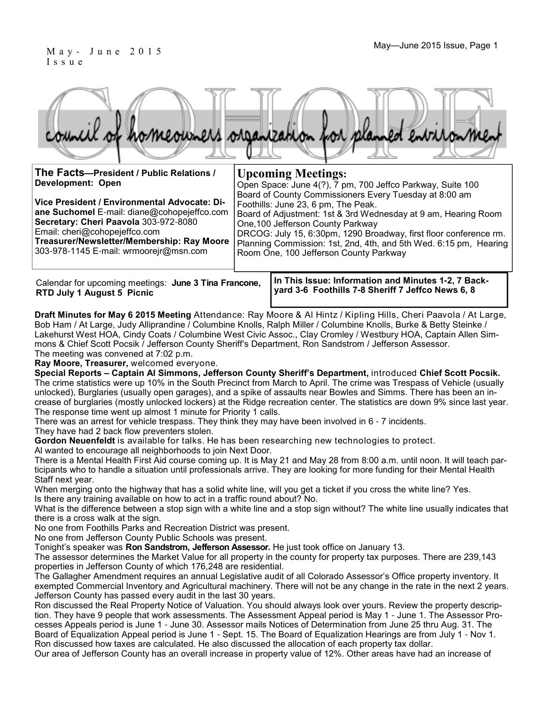### May - June 2015 Issue, Page 1 I s s u e

|  |  |  | council of homeowners organization for planned environment |
|--|--|--|------------------------------------------------------------|
|  |  |  |                                                            |

| The Facts-President / Public Relations /<br>Development: Open<br>Vice President / Environmental Advocate: Di-<br>ane Suchomel E-mail: diane@cohopejeffco.com<br>Secretary: Cheri Paavola 303-972-8080<br>Email: cheri@cohopejeffco.com<br>Treasurer/Newsletter/Membership: Ray Moore<br>303-978-1145 E-mail: wrmoorejr@msn.com | <b>Upcoming Meetings:</b><br>Open Space: June 4(?), 7 pm, 700 Jeffco Parkway, Suite 100<br>Board of County Commissioners Every Tuesday at 8:00 am<br>Foothills: June 23, 6 pm, The Peak.<br>Board of Adjustment: 1st & 3rd Wednesday at 9 am, Hearing Room<br>One, 100 Jefferson County Parkway<br>DRCOG: July 15, 6:30pm, 1290 Broadway, first floor conference rm.<br>Planning Commission: 1st, 2nd, 4th, and 5th Wed. 6:15 pm, Hearing<br>Room One, 100 Jefferson County Parkway |  |
|--------------------------------------------------------------------------------------------------------------------------------------------------------------------------------------------------------------------------------------------------------------------------------------------------------------------------------|-------------------------------------------------------------------------------------------------------------------------------------------------------------------------------------------------------------------------------------------------------------------------------------------------------------------------------------------------------------------------------------------------------------------------------------------------------------------------------------|--|
| Calendar for upcoming meetings: June 3 Tina Francone,                                                                                                                                                                                                                                                                          | In This Issue: Information and Minutes 1-2, 7 Back-                                                                                                                                                                                                                                                                                                                                                                                                                                 |  |

**RTD July 1 August 5 Picnic** 

**yard 3-6 Foothills 7-8 Sheriff 7 Jeffco News 6, 8**

**Draft Minutes for May 6 2015 Meeting** Attendance: Ray Moore & Al Hintz / Kipling Hills, Cheri Paavola / At Large, Bob Ham / At Large, Judy Alliprandine / Columbine Knolls, Ralph Miller / Columbine Knolls, Burke & Betty Steinke / Lakehurst West HOA, Cindy Coats / Columbine West Civic Assoc., Clay Cromley / Westbury HOA, Captain Allen Simmons & Chief Scott Pocsik / Jefferson County Sheriff's Department, Ron Sandstrom / Jefferson Assessor. The meeting was convened at 7:02 p.m.

**Ray Moore, Treasurer,** welcomed everyone.

**Special Reports – Captain Al Simmons, Jefferson County Sheriff's Department,** introduced **Chief Scott Pocsik.** The crime statistics were up 10% in the South Precinct from March to April. The crime was Trespass of Vehicle (usually unlocked), Burglaries (usually open garages), and a spike of assaults near Bowles and Simms. There has been an increase of burglaries (mostly unlocked lockers) at the Ridge recreation center. The statistics are down 9% since last year. The response time went up almost 1 minute for Priority 1 calls.

There was an arrest for vehicle trespass. They think they may have been involved in 6 - 7 incidents. They have had 2 back flow preventers stolen.

**Gordon Neuenfeldt** is available for talks. He has been researching new technologies to protect. Al wanted to encourage all neighborhoods to join Next Door.

There is a Mental Health First Aid course coming up. It is May 21 and May 28 from 8:00 a.m. until noon. It will teach participants who to handle a situation until professionals arrive. They are looking for more funding for their Mental Health Staff next year.

When merging onto the highway that has a solid white line, will you get a ticket if you cross the white line? Yes. Is there any training available on how to act in a traffic round about? No.

What is the difference between a stop sign with a white line and a stop sign without? The white line usually indicates that there is a cross walk at the sign.

No one from Foothills Parks and Recreation District was present.

No one from Jefferson County Public Schools was present.

Tonight's speaker was **Ron Sandstrom, Jefferson Assessor.** He just took office on January 13.

The assessor determines the Market Value for all property in the county for property tax purposes. There are 239,143 properties in Jefferson County of which 176,248 are residential.

The Gallagher Amendment requires an annual Legislative audit of all Colorado Assessor's Office property inventory. It exempted Commercial Inventory and Agricultural machinery. There will not be any change in the rate in the next 2 years. Jefferson County has passed every audit in the last 30 years.

Ron discussed the Real Property Notice of Valuation. You should always look over yours. Review the property description. They have 9 people that work assessments. The Assessment Appeal period is May 1 - June 1. The Assessor Processes Appeals period is June 1 - June 30. Assessor mails Notices of Determination from June 25 thru Aug. 31. The Board of Equalization Appeal period is June 1 - Sept. 15. The Board of Equalization Hearings are from July 1 - Nov 1. Ron discussed how taxes are calculated. He also discussed the allocation of each property tax dollar.

Our area of Jefferson County has an overall increase in property value of 12%. Other areas have had an increase of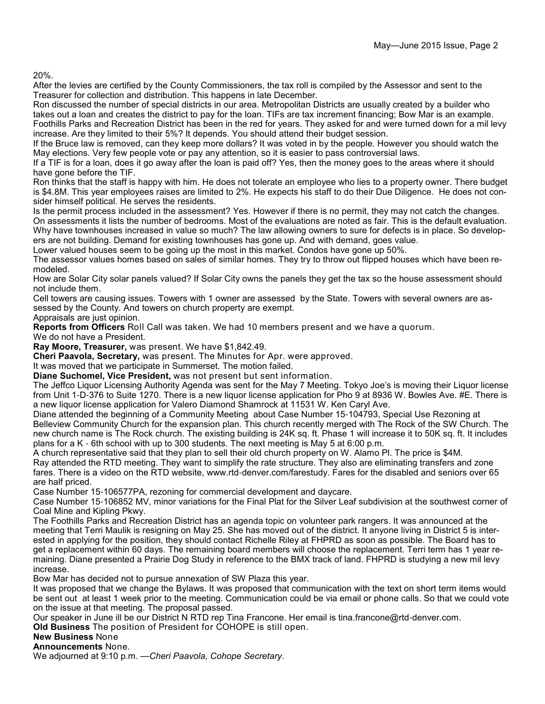20%.

After the levies are certified by the County Commissioners, the tax roll is compiled by the Assessor and sent to the Treasurer for collection and distribution. This happens in late December.

Ron discussed the number of special districts in our area. Metropolitan Districts are usually created by a builder who takes out a loan and creates the district to pay for the loan. TIFs are tax increment financing; Bow Mar is an example. Foothills Parks and Recreation District has been in the red for years. They asked for and were turned down for a mil levy increase. Are they limited to their 5%? It depends. You should attend their budget session.

If the Bruce law is removed, can they keep more dollars? It was voted in by the people. However you should watch the May elections. Very few people vote or pay any attention, so it is easier to pass controversial laws.

If a TIF is for a loan, does it go away after the loan is paid off? Yes, then the money goes to the areas where it should have gone before the TIF.

Ron thinks that the staff is happy with him. He does not tolerate an employee who lies to a property owner. There budget is \$4.8M. This year employees raises are limited to 2%. He expects his staff to do their Due Diligence. He does not consider himself political. He serves the residents.

Is the permit process included in the assessment? Yes. However if there is no permit, they may not catch the changes. On assessments it lists the number of bedrooms. Most of the evaluations are noted as fair. This is the default evaluation. Why have townhouses increased in value so much? The law allowing owners to sure for defects is in place. So developers are not building. Demand for existing townhouses has gone up. And with demand, goes value.

Lower valued houses seem to be going up the most in this market. Condos have gone up 50%.

The assessor values homes based on sales of similar homes. They try to throw out flipped houses which have been remodeled.

How are Solar City solar panels valued? If Solar City owns the panels they get the tax so the house assessment should not include them.

Cell towers are causing issues. Towers with 1 owner are assessed by the State. Towers with several owners are assessed by the County. And towers on church property are exempt.

Appraisals are just opinion.

**Reports from Officers** Roll Call was taken. We had 10 members present and we have a quorum. We do not have a President.

**Ray Moore, Treasurer,** was present. We have \$1,842.49.

**Cheri Paavola, Secretary,** was present. The Minutes for Apr. were approved.

It was moved that we participate in Summerset. The motion failed.

**Diane Suchomel, Vice President,** was not present but sent information.

The Jeffco Liquor Licensing Authority Agenda was sent for the May 7 Meeting. Tokyo Joe's is moving their Liquor license from Unit 1-D-376 to Suite 1270. There is a new liquor license application for Pho 9 at 8936 W. Bowles Ave. #E. There is a new liquor license application for Valero Diamond Shamrock at 11531 W. Ken Caryl Ave.

Diane attended the beginning of a Community Meeting about Case Number 15-104793, Special Use Rezoning at Belleview Community Church for the expansion plan. This church recently merged with The Rock of the SW Church. The new church name is The Rock church. The existing building is 24K sq. ft. Phase 1 will increase it to 50K sq. ft. It includes plans for a K - 6th school with up to 300 students. The next meeting is May 5 at 6:00 p.m.

A church representative said that they plan to sell their old church property on W. Alamo Pl. The price is \$4M. Ray attended the RTD meeting. They want to simplify the rate structure. They also are eliminating transfers and zone fares. There is a video on the RTD website, www.rtd-denver.com/farestudy. Fares for the disabled and seniors over 65 are half priced.

Case Number 15-106577PA, rezoning for commercial development and daycare.

Case Number 15-106852 MV, minor variations for the Final Plat for the Silver Leaf subdivision at the southwest corner of Coal Mine and Kipling Pkwy.

The Foothills Parks and Recreation District has an agenda topic on volunteer park rangers. It was announced at the meeting that Terri Maulik is resigning on May 25. She has moved out of the district. It anyone living in District 5 is interested in applying for the position, they should contact Richelle Riley at FHPRD as soon as possible. The Board has to get a replacement within 60 days. The remaining board members will choose the replacement. Terri term has 1 year remaining. Diane presented a Prairie Dog Study in reference to the BMX track of land. FHPRD is studying a new mil levy increase.

Bow Mar has decided not to pursue annexation of SW Plaza this year.

It was proposed that we change the Bylaws. It was proposed that communication with the text on short term items would be sent out at least 1 week prior to the meeting. Communication could be via email or phone calls. So that we could vote on the issue at that meeting. The proposal passed.

Our speaker in June ill be our District N RTD rep Tina Francone. Her email is tina.francone@rtd-denver.com.

**Old Business** The position of President for COHOPE is still open.

#### **New Business** None

**Announcements** None.

We adjourned at 9:10 p.m. —*Cheri Paavola, Cohope Secretary*.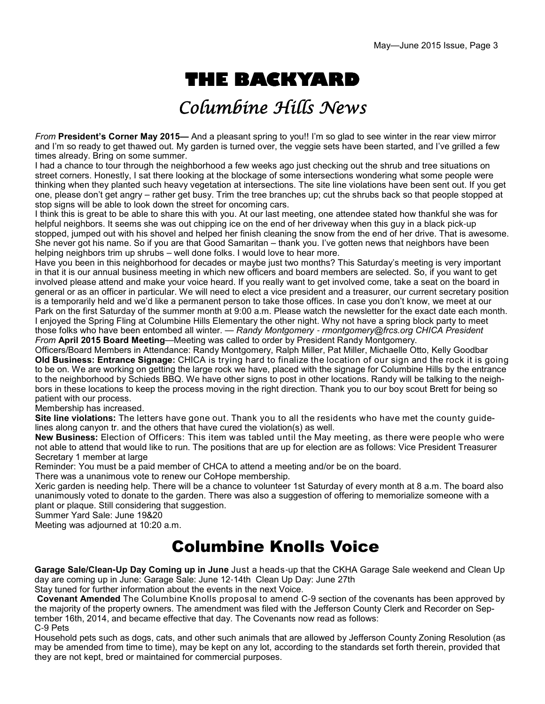# **THE BACKYARD**

# Columbine Hills News

*From* **President's Corner May 2015—** And a pleasant spring to you!! I'm so glad to see winter in the rear view mirror and I'm so ready to get thawed out. My garden is turned over, the veggie sets have been started, and I've grilled a few times already. Bring on some summer.

I had a chance to tour through the neighborhood a few weeks ago just checking out the shrub and tree situations on street corners. Honestly, I sat there looking at the blockage of some intersections wondering what some people were thinking when they planted such heavy vegetation at intersections. The site line violations have been sent out. If you get one, please don't get angry – rather get busy. Trim the tree branches up; cut the shrubs back so that people stopped at stop signs will be able to look down the street for oncoming cars.

I think this is great to be able to share this with you. At our last meeting, one attendee stated how thankful she was for helpful neighbors. It seems she was out chipping ice on the end of her driveway when this guy in a black pick-up stopped, jumped out with his shovel and helped her finish cleaning the snow from the end of her drive. That is awesome. She never got his name. So if you are that Good Samaritan – thank you. I've gotten news that neighbors have been helping neighbors trim up shrubs – well done folks. I would love to hear more.

Have you been in this neighborhood for decades or maybe just two months? This Saturday's meeting is very important in that it is our annual business meeting in which new officers and board members are selected. So, if you want to get involved please attend and make your voice heard. If you really want to get involved come, take a seat on the board in general or as an officer in particular. We will need to elect a vice president and a treasurer, our current secretary position is a temporarily held and we'd like a permanent person to take those offices. In case you don't know, we meet at our Park on the first Saturday of the summer month at 9:00 a.m. Please watch the newsletter for the exact date each month. I enjoyed the Spring Fling at Columbine Hills Elementary the other night. Why not have a spring block party to meet those folks who have been entombed all winter. — *Randy Montgomery* - *rmontgomery@frcs.org CHICA President From* **April 2015 Board Meeting**—Meeting was called to order by President Randy Montgomery.

Officers/Board Members in Attendance: Randy Montgomery, Ralph Miller, Pat Miller, Michaelle Otto, Kelly Goodbar **Old Business: Entrance Signage:** CHICA is trying hard to finalize the location of our sign and the rock it is going to be on. We are working on getting the large rock we have, placed with the signage for Columbine Hills by the entrance to the neighborhood by Schieds BBQ. We have other signs to post in other locations. Randy will be talking to the neighbors in these locations to keep the process moving in the right direction. Thank you to our boy scout Brett for being so patient with our process.

Membership has increased.

**Site line violations:** The letters have gone out. Thank you to all the residents who have met the county guidelines along canyon tr. and the others that have cured the violation(s) as well.

**New Business:** Election of Officers: This item was tabled until the May meeting, as there were people who were not able to attend that would like to run. The positions that are up for election are as follows: Vice President Treasurer Secretary 1 member at large

Reminder: You must be a paid member of CHCA to attend a meeting and/or be on the board.

There was a unanimous vote to renew our CoHope membership.

Xeric garden is needing help. There will be a chance to volunteer 1st Saturday of every month at 8 a.m. The board also unanimously voted to donate to the garden. There was also a suggestion of offering to memorialize someone with a plant or plaque. Still considering that suggestion.

Summer Yard Sale: June 19&20

Meeting was adjourned at 10:20 a.m.

### Columbine Knolls Voice

**Garage Sale/Clean-Up Day Coming up in June** Just a heads-up that the CKHA Garage Sale weekend and Clean Up day are coming up in June: Garage Sale: June 12-14th Clean Up Day: June 27th

Stay tuned for further information about the events in the next Voice.

 **Covenant Amended** The Columbine Knolls proposal to amend C-9 section of the covenants has been approved by the majority of the property owners. The amendment was filed with the Jefferson County Clerk and Recorder on September 16th, 2014, and became effective that day. The Covenants now read as follows: C-9 Pets

Household pets such as dogs, cats, and other such animals that are allowed by Jefferson County Zoning Resolution (as may be amended from time to time), may be kept on any lot, according to the standards set forth therein, provided that they are not kept, bred or maintained for commercial purposes.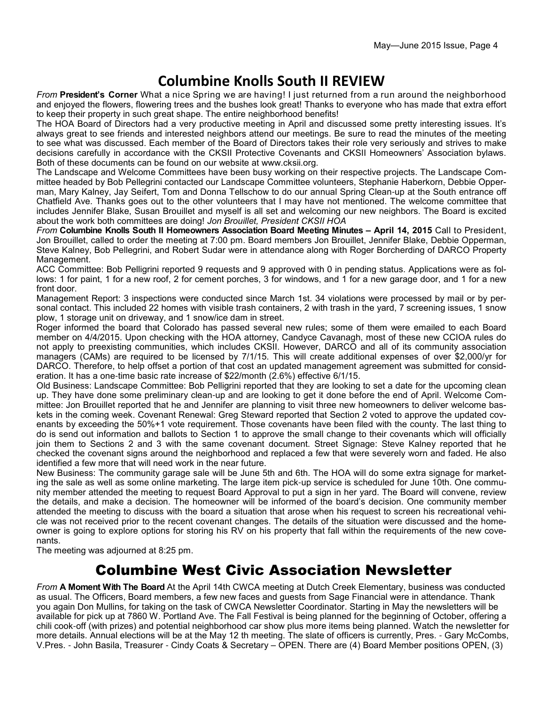### **Columbine Knolls South II REVIEW**

*From* **President's Corner** What a nice Spring we are having! I just returned from a run around the neighborhood and enjoyed the flowers, flowering trees and the bushes look great! Thanks to everyone who has made that extra effort to keep their property in such great shape. The entire neighborhood benefits!

The HOA Board of Directors had a very productive meeting in April and discussed some pretty interesting issues. It's always great to see friends and interested neighbors attend our meetings. Be sure to read the minutes of the meeting to see what was discussed. Each member of the Board of Directors takes their role very seriously and strives to make decisions carefully in accordance with the CKSII Protective Covenants and CKSII Homeowners' Association bylaws. Both of these documents can be found on our website at www.cksii.org.

The Landscape and Welcome Committees have been busy working on their respective projects. The Landscape Committee headed by Bob Pellegrini contacted our Landscape Committee volunteers, Stephanie Haberkorn, Debbie Opperman, Mary Kalney, Jay Seifert, Tom and Donna Tellschow to do our annual Spring Clean-up at the South entrance off Chatfield Ave. Thanks goes out to the other volunteers that I may have not mentioned. The welcome committee that includes Jennifer Blake, Susan Brouillet and myself is all set and welcoming our new neighbors. The Board is excited about the work both committees are doing! *Jon Brouillet, President CKSII HOA*

*From* **Columbine Knolls South II Homeowners Association Board Meeting Minutes – April 14, 2015** Call to President, Jon Brouillet, called to order the meeting at 7:00 pm. Board members Jon Brouillet, Jennifer Blake, Debbie Opperman, Steve Kalney, Bob Pellegrini, and Robert Sudar were in attendance along with Roger Borcherding of DARCO Property Management.

ACC Committee: Bob Pelligrini reported 9 requests and 9 approved with 0 in pending status. Applications were as follows: 1 for paint, 1 for a new roof, 2 for cement porches, 3 for windows, and 1 for a new garage door, and 1 for a new front door.

Management Report: 3 inspections were conducted since March 1st. 34 violations were processed by mail or by personal contact. This included 22 homes with visible trash containers, 2 with trash in the yard, 7 screening issues, 1 snow plow, 1 storage unit on driveway, and 1 snow/ice dam in street.

Roger informed the board that Colorado has passed several new rules; some of them were emailed to each Board member on 4/4/2015. Upon checking with the HOA attorney, Candyce Cavanagh, most of these new CCIOA rules do not apply to preexisting communities, which includes CKSII. However, DARCO and all of its community association managers (CAMs) are required to be licensed by 7/1/15. This will create additional expenses of over \$2,000/yr for DARCO. Therefore, to help offset a portion of that cost an updated management agreement was submitted for consideration. It has a one-time basic rate increase of \$22/month (2.6%) effective 6/1/15.

Old Business: Landscape Committee: Bob Pelligrini reported that they are looking to set a date for the upcoming clean up. They have done some preliminary clean-up and are looking to get it done before the end of April. Welcome Committee: Jon Brouillet reported that he and Jennifer are planning to visit three new homeowners to deliver welcome baskets in the coming week. Covenant Renewal: Greg Steward reported that Section 2 voted to approve the updated covenants by exceeding the 50%+1 vote requirement. Those covenants have been filed with the county. The last thing to do is send out information and ballots to Section 1 to approve the small change to their covenants which will officially join them to Sections 2 and 3 with the same covenant document. Street Signage: Steve Kalney reported that he checked the covenant signs around the neighborhood and replaced a few that were severely worn and faded. He also identified a few more that will need work in the near future.

New Business: The community garage sale will be June 5th and 6th. The HOA will do some extra signage for marketing the sale as well as some online marketing. The large item pick-up service is scheduled for June 10th. One community member attended the meeting to request Board Approval to put a sign in her yard. The Board will convene, review the details, and make a decision. The homeowner will be informed of the board's decision. One community member attended the meeting to discuss with the board a situation that arose when his request to screen his recreational vehicle was not received prior to the recent covenant changes. The details of the situation were discussed and the homeowner is going to explore options for storing his RV on his property that fall within the requirements of the new covenants.

The meeting was adjourned at 8:25 pm.

### Columbine West Civic Association Newsletter

*From* **A Moment With The Board** At the April 14th CWCA meeting at Dutch Creek Elementary, business was conducted as usual. The Officers, Board members, a few new faces and guests from Sage Financial were in attendance. Thank you again Don Mullins, for taking on the task of CWCA Newsletter Coordinator. Starting in May the newsletters will be available for pick up at 7860 W. Portland Ave. The Fall Festival is being planned for the beginning of October, offering a chili cook-off (with prizes) and potential neighborhood car show plus more items being planned. Watch the newsletter for more details. Annual elections will be at the May 12 th meeting. The slate of officers is currently, Pres. - Gary McCombs, V.Pres. - John Basila, Treasurer - Cindy Coats & Secretary – OPEN. There are (4) Board Member positions OPEN, (3)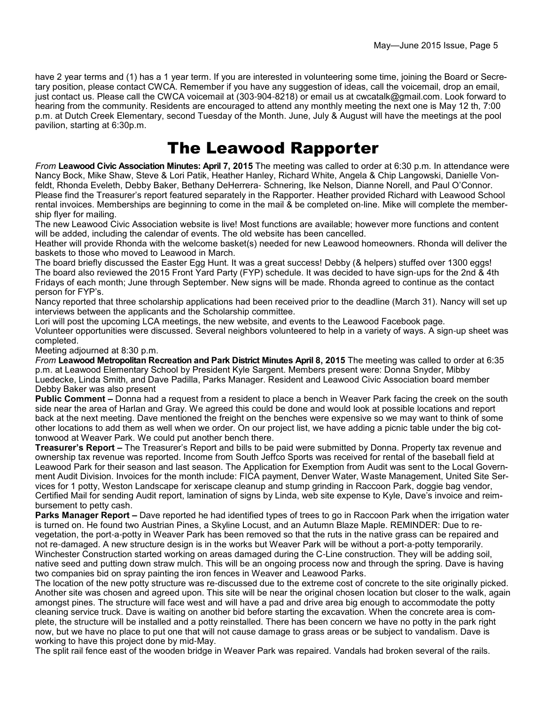have 2 year terms and (1) has a 1 year term. If you are interested in volunteering some time, joining the Board or Secretary position, please contact CWCA. Remember if you have any suggestion of ideas, call the voicemail, drop an email, just contact us. Please call the CWCA voicemail at (303-904-8218) or email us at cwcatalk@gmail.com. Look forward to hearing from the community. Residents are encouraged to attend any monthly meeting the next one is May 12 th, 7:00 p.m. at Dutch Creek Elementary, second Tuesday of the Month. June, July & August will have the meetings at the pool pavilion, starting at 6:30p.m.

## The Leawood Rapporter

*From* **Leawood Civic Association Minutes: April 7, 2015** The meeting was called to order at 6:30 p.m. In attendance were Nancy Bock, Mike Shaw, Steve & Lori Patik, Heather Hanley, Richard White, Angela & Chip Langowski, Danielle Vonfeldt, Rhonda Eveleth, Debby Baker, Bethany DeHerrera- Schnering, Ike Nelson, Dianne Norell, and Paul O'Connor. Please find the Treasurer's report featured separately in the Rapporter. Heather provided Richard with Leawood School rental invoices. Memberships are beginning to come in the mail & be completed on-line. Mike will complete the membership flyer for mailing.

The new Leawood Civic Association website is live! Most functions are available; however more functions and content will be added, including the calendar of events. The old website has been cancelled.

Heather will provide Rhonda with the welcome basket(s) needed for new Leawood homeowners. Rhonda will deliver the baskets to those who moved to Leawood in March.

The board briefly discussed the Easter Egg Hunt. It was a great success! Debby (& helpers) stuffed over 1300 eggs! The board also reviewed the 2015 Front Yard Party (FYP) schedule. It was decided to have sign-ups for the 2nd & 4th Fridays of each month; June through September. New signs will be made. Rhonda agreed to continue as the contact person for FYP's.

Nancy reported that three scholarship applications had been received prior to the deadline (March 31). Nancy will set up interviews between the applicants and the Scholarship committee.

Lori will post the upcoming LCA meetings, the new website, and events to the Leawood Facebook page. Volunteer opportunities were discussed. Several neighbors volunteered to help in a variety of ways. A sign-up sheet was completed.

Meeting adjourned at 8:30 p.m.

*From* **Leawood Metropolitan Recreation and Park District Minutes April 8, 2015** The meeting was called to order at 6:35 p.m. at Leawood Elementary School by President Kyle Sargent. Members present were: Donna Snyder, Mibby Luedecke, Linda Smith, and Dave Padilla, Parks Manager. Resident and Leawood Civic Association board member Debby Baker was also present

**Public Comment –** Donna had a request from a resident to place a bench in Weaver Park facing the creek on the south side near the area of Harlan and Gray. We agreed this could be done and would look at possible locations and report back at the next meeting. Dave mentioned the freight on the benches were expensive so we may want to think of some other locations to add them as well when we order. On our project list, we have adding a picnic table under the big cottonwood at Weaver Park. We could put another bench there.

**Treasurer's Report –** The Treasurer's Report and bills to be paid were submitted by Donna. Property tax revenue and ownership tax revenue was reported. Income from South Jeffco Sports was received for rental of the baseball field at Leawood Park for their season and last season. The Application for Exemption from Audit was sent to the Local Government Audit Division. Invoices for the month include: FICA payment, Denver Water, Waste Management, United Site Services for 1 potty, Weston Landscape for xeriscape cleanup and stump grinding in Raccoon Park, doggie bag vendor, Certified Mail for sending Audit report, lamination of signs by Linda, web site expense to Kyle, Dave's invoice and reimbursement to petty cash.

**Parks Manager Report** – Dave reported he had identified types of trees to go in Raccoon Park when the irrigation water is turned on. He found two Austrian Pines, a Skyline Locust, and an Autumn Blaze Maple. REMINDER: Due to revegetation, the port-a-potty in Weaver Park has been removed so that the ruts in the native grass can be repaired and not re-damaged. A new structure design is in the works but Weaver Park will be without a port-a-potty temporarily. Winchester Construction started working on areas damaged during the C-Line construction. They will be adding soil, native seed and putting down straw mulch. This will be an ongoing process now and through the spring. Dave is having two companies bid on spray painting the iron fences in Weaver and Leawood Parks.

The location of the new potty structure was re-discussed due to the extreme cost of concrete to the site originally picked. Another site was chosen and agreed upon. This site will be near the original chosen location but closer to the walk, again amongst pines. The structure will face west and will have a pad and drive area big enough to accommodate the potty cleaning service truck. Dave is waiting on another bid before starting the excavation. When the concrete area is complete, the structure will be installed and a potty reinstalled. There has been concern we have no potty in the park right now, but we have no place to put one that will not cause damage to grass areas or be subject to vandalism. Dave is working to have this project done by mid-May.

The split rail fence east of the wooden bridge in Weaver Park was repaired. Vandals had broken several of the rails.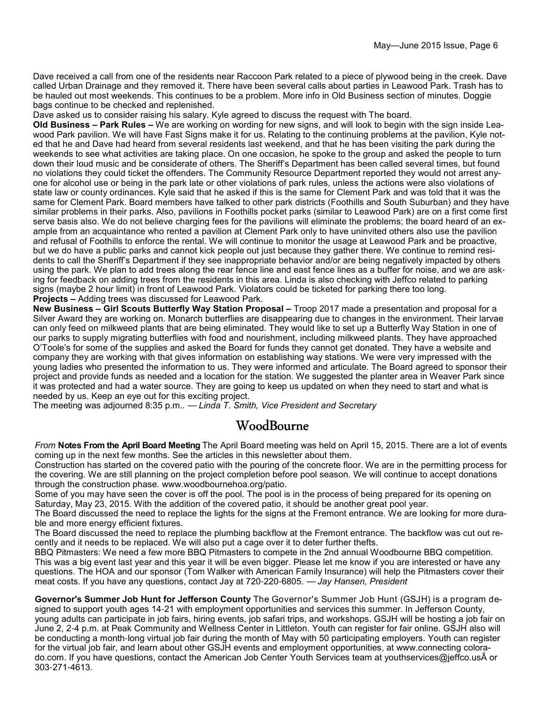Dave received a call from one of the residents near Raccoon Park related to a piece of plywood being in the creek. Dave called Urban Drainage and they removed it. There have been several calls about parties in Leawood Park. Trash has to be hauled out most weekends. This continues to be a problem. More info in Old Business section of minutes. Doggie bags continue to be checked and replenished.

Dave asked us to consider raising his salary. Kyle agreed to discuss the request with The board.

**Old Business – Park Rules –** We are working on wording for new signs, and will look to begin with the sign inside Leawood Park pavilion. We will have Fast Signs make it for us. Relating to the continuing problems at the pavilion, Kyle noted that he and Dave had heard from several residents last weekend, and that he has been visiting the park during the weekends to see what activities are taking place. On one occasion, he spoke to the group and asked the people to turn down their loud music and be considerate of others. The Sheriff's Department has been called several times, but found no violations they could ticket the offenders. The Community Resource Department reported they would not arrest anyone for alcohol use or being in the park late or other violations of park rules, unless the actions were also violations of state law or county ordinances. Kyle said that he asked if this is the same for Clement Park and was told that it was the same for Clement Park. Board members have talked to other park districts (Foothills and South Suburban) and they have similar problems in their parks. Also, pavilions in Foothills pocket parks (similar to Leawood Park) are on a first come first serve basis also. We do not believe charging fees for the pavilions will eliminate the problems; the board heard of an example from an acquaintance who rented a pavilion at Clement Park only to have uninvited others also use the pavilion and refusal of Foothills to enforce the rental. We will continue to monitor the usage at Leawood Park and be proactive, but we do have a public parks and cannot kick people out just because they gather there. We continue to remind residents to call the Sheriff's Department if they see inappropriate behavior and/or are being negatively impacted by others using the park. We plan to add trees along the rear fence line and east fence lines as a buffer for noise, and we are asking for feedback on adding trees from the residents in this area. Linda is also checking with Jeffco related to parking signs (maybe 2 hour limit) in front of Leawood Park. Violators could be ticketed for parking there too long. **Projects –** Adding trees was discussed for Leawood Park.

**New Business – Girl Scouts Butterfly Way Station Proposal –** Troop 2017 made a presentation and proposal for a Silver Award they are working on. Monarch butterflies are disappearing due to changes in the environment. Their larvae can only feed on milkweed plants that are being eliminated. They would like to set up a Butterfly Way Station in one of our parks to supply migrating butterflies with food and nourishment, including milkweed plants. They have approached O'Toole's for some of the supplies and asked the Board for funds they cannot get donated. They have a website and company they are working with that gives information on establishing way stations. We were very impressed with the young ladies who presented the information to us. They were informed and articulate. The Board agreed to sponsor their project and provide funds as needed and a location for the station. We suggested the planter area in Weaver Park since it was protected and had a water source. They are going to keep us updated on when they need to start and what is needed by us. Keep an eye out for this exciting project.

The meeting was adjourned 8:35 p.m.. — *Linda T. Smith, Vice President and Secretary*

### WoodBourne

*From* **Notes From the April Board Meeting** The April Board meeting was held on April 15, 2015. There are a lot of events coming up in the next few months. See the articles in this newsletter about them.

Construction has started on the covered patio with the pouring of the concrete floor. We are in the permitting process for the covering. We are still planning on the project completion before pool season. We will continue to accept donations through the construction phase. www.woodbournehoa.org/patio.

Some of you may have seen the cover is off the pool. The pool is in the process of being prepared for its opening on Saturday, May 23, 2015. With the addition of the covered patio, it should be another great pool year.

The Board discussed the need to replace the lights for the signs at the Fremont entrance. We are looking for more durable and more energy efficient fixtures.

The Board discussed the need to replace the plumbing backflow at the Fremont entrance. The backflow was cut out recently and it needs to be replaced. We will also put a cage over it to deter further thefts.

BBQ Pitmasters: We need a few more BBQ Pitmasters to compete in the 2nd annual Woodbourne BBQ competition. This was a big event last year and this year it will be even bigger. Please let me know if you are interested or have any questions. The HOA and our sponsor (Tom Walker with American Family Insurance) will help the Pitmasters cover their meat costs. If you have any questions, contact Jay at 720-220-6805. — *Jay Hansen, President*

**Governor's Summer Job Hunt for Jefferson County** The Governor's Summer Job Hunt (GSJH) is a program designed to support youth ages 14-21 with employment opportunities and services this summer. In Jefferson County, young adults can participate in job fairs, hiring events, job safari trips, and workshops. GSJH will be hosting a job fair on June 2, 2-4 p.m. at Peak Community and Wellness Center in Littleton. Youth can register for fair online. GSJH also will be conducting a month-long virtual job fair during the month of May with 50 participating employers. Youth can register for the virtual job fair, and learn about other GSJH events and employment opportunities, at www.connecting colorado.com. If you have questions, contact the American Job Center Youth Services team at youthservices@jeffco.usÂ or 303-271-4613.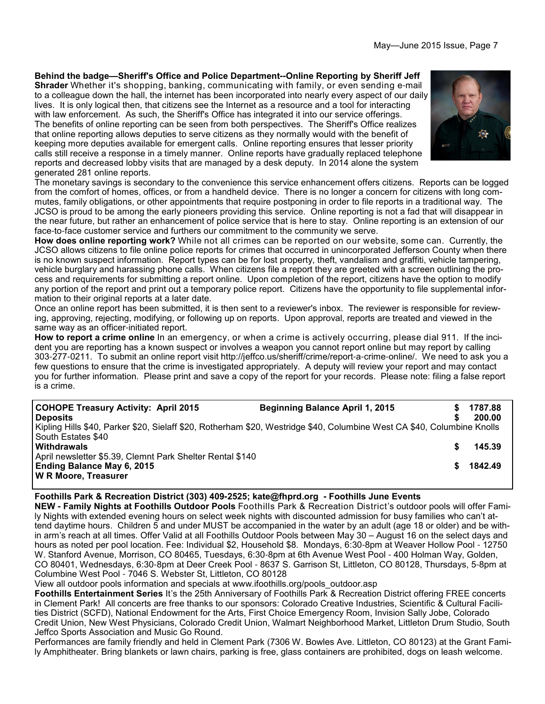#### **Behind the badge—Sheriff's Office and Police Department--Online Reporting by Sheriff Jeff**

**Shrader** Whether it's shopping, banking, communicating with family, or even sending e-mail to a colleague down the hall, the internet has been incorporated into nearly every aspect of our daily lives. It is only logical then, that citizens see the Internet as a resource and a tool for interacting with law enforcement. As such, the Sheriff's Office has integrated it into our service offerings. The benefits of online reporting can be seen from both perspectives. The Sheriff's Office realizes that online reporting allows deputies to serve citizens as they normally would with the benefit of keeping more deputies available for emergent calls. Online reporting ensures that lesser priority calls still receive a response in a timely manner. Online reports have gradually replaced telephone reports and decreased lobby visits that are managed by a desk deputy. In 2014 alone the system generated 281 online reports.



The monetary savings is secondary to the convenience this service enhancement offers citizens. Reports can be logged from the comfort of homes, offices, or from a handheld device. There is no longer a concern for citizens with long commutes, family obligations, or other appointments that require postponing in order to file reports in a traditional way. The JCSO is proud to be among the early pioneers providing this service. Online reporting is not a fad that will disappear in the near future, but rather an enhancement of police service that is here to stay. Online reporting is an extension of our face-to-face customer service and furthers our commitment to the community we serve.

**How does online reporting work?** While not all crimes can be reported on our website, some can. Currently, the JCSO allows citizens to file online police reports for crimes that occurred in unincorporated Jefferson County when there is no known suspect information. Report types can be for lost property, theft, vandalism and graffiti, vehicle tampering, vehicle burglary and harassing phone calls. When citizens file a report they are greeted with a screen outlining the process and requirements for submitting a report online. Upon completion of the report, citizens have the option to modify any portion of the report and print out a temporary police report. Citizens have the opportunity to file supplemental information to their original reports at a later date.

Once an online report has been submitted, it is then sent to a reviewer's inbox. The reviewer is responsible for reviewing, approving, rejecting, modifying, or following up on reports. Upon approval, reports are treated and viewed in the same way as an officer-initiated report.

**How to report a crime online** In an emergency, or when a crime is actively occurring, please dial 911. If the incident you are reporting has a known suspect or involves a weapon you cannot report online but may report by calling 303-277-0211. To submit an online report visit http://jeffco.us/sheriff/crime/report-a-crime-online/. We need to ask you a few questions to ensure that the crime is investigated appropriately. A deputy will review your report and may contact you for further information. Please print and save a copy of the report for your records. Please note: filing a false report is a crime.

| <b>COHOPE Treasury Activity: April 2015</b><br><b>Deposits</b>                                                          | <b>Beginning Balance April 1, 2015</b> |  | 1787.88<br>200.00 |  |  |  |
|-------------------------------------------------------------------------------------------------------------------------|----------------------------------------|--|-------------------|--|--|--|
| Kipling Hills \$40, Parker \$20, Sielaff \$20, Rotherham \$20, Westridge \$40, Columbine West CA \$40, Columbine Knolls |                                        |  |                   |  |  |  |
| South Estates \$40<br><b>Withdrawals</b>                                                                                |                                        |  | 145.39            |  |  |  |
| April newsletter \$5.39, Clemnt Park Shelter Rental \$140                                                               |                                        |  |                   |  |  |  |
| Ending Balance May 6, 2015<br>W R Moore, Treasurer                                                                      |                                        |  | 1842.49           |  |  |  |

#### **Foothills Park & Recreation District (303) 409-2525; kate@fhprd.org - Foothills June Events**

**NEW - Family Nights at Foothills Outdoor Pools** Foothills Park & Recreation District's outdoor pools will offer Family Nights with extended evening hours on select week nights with discounted admission for busy families who can't attend daytime hours. Children 5 and under MUST be accompanied in the water by an adult (age 18 or older) and be within arm's reach at all times. Offer Valid at all Foothills Outdoor Pools between May 30 – August 16 on the select days and hours as noted per pool location. Fee: Individual \$2, Household \$8. Mondays, 6:30-8pm at Weaver Hollow Pool - 12750 W. Stanford Avenue, Morrison, CO 80465, Tuesdays, 6:30-8pm at 6th Avenue West Pool - 400 Holman Way, Golden, CO 80401, Wednesdays, 6:30-8pm at Deer Creek Pool - 8637 S. Garrison St, Littleton, CO 80128, Thursdays, 5-8pm at Columbine West Pool - 7046 S. Webster St, Littleton, CO 80128

View all outdoor pools information and specials at www.ifoothills.org/pools\_outdoor.asp

**Foothills Entertainment Series** It's the 25th Anniversary of Foothills Park & Recreation District offering FREE concerts in Clement Park! All concerts are free thanks to our sponsors: Colorado Creative Industries, Scientific & Cultural Facilities District (SCFD), National Endowment for the Arts, First Choice Emergency Room, Invision Sally Jobe, Colorado Credit Union, New West Physicians, Colorado Credit Union, Walmart Neighborhood Market, Littleton Drum Studio, South Jeffco Sports Association and Music Go Round.

Performances are family friendly and held in Clement Park (7306 W. Bowles Ave. Littleton, CO 80123) at the Grant Family Amphitheater. Bring blankets or lawn chairs, parking is free, glass containers are prohibited, dogs on leash welcome.